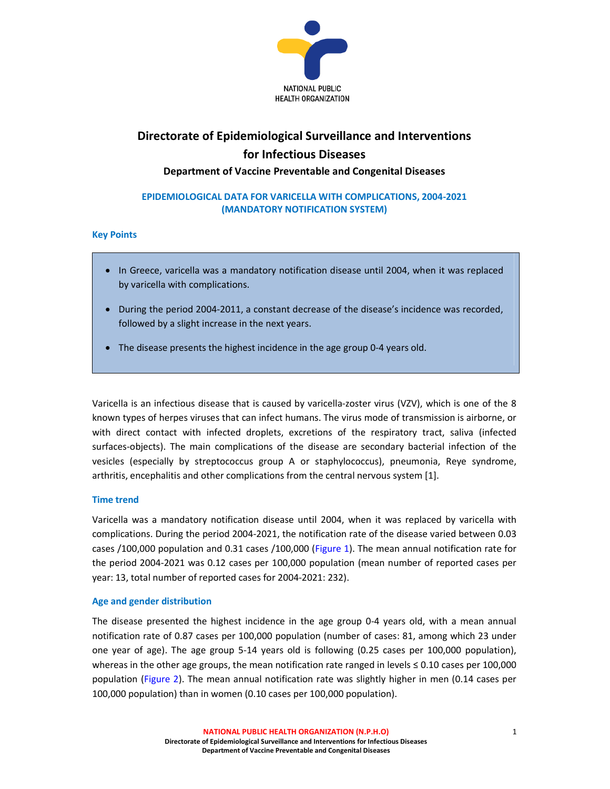

## Directorate of Epidemiological Surveillance and Interventions for Infectious Diseases Department of Vaccine Preventable and Congenital Diseases

# EPIDEMIOLOGICAL DATA FOR VARICELLA WITH COMPLICATIONS, 2004-2021

#### (MANDATORY NOTIFICATION SYSTEM)

### Key Points

- In Greece, varicella was a mandatory notification disease until 2004, when it was replaced by varicella with complications.
- During the period 2004-2011, a constant decrease of the disease's incidence was recorded, followed by a slight increase in the next years.
- The disease presents the highest incidence in the age group 0-4 years old.

Varicella is an infectious disease that is caused by varicella-zoster virus (VZV), which is one of the 8 known types of herpes viruses that can infect humans. The virus mode of transmission is airborne, or with direct contact with infected droplets, excretions of the respiratory tract, saliva (infected surfaces-objects). The main complications of the disease are secondary bacterial infection of the vesicles (especially by streptococcus group A or staphylococcus), pneumonia, Reye syndrome, arthritis, encephalitis and other complications from the central nervous system [1].

#### Time trend

Varicella was a mandatory notification disease until 2004, when it was replaced by varicella with complications. During the period 2004-2021, the notification rate of the disease varied between 0.03 cases /100,000 population and 0.31 cases /100,000 (Figure 1). The mean annual notification rate for the period 2004-2021 was 0.12 cases per 100,000 population (mean number of reported cases per year: 13, total number of reported cases for 2004-2021: 232).

#### Age and gender distribution

The disease presented the highest incidence in the age group 0-4 years old, with a mean annual notification rate of 0.87 cases per 100,000 population (number of cases: 81, among which 23 under one year of age). The age group 5-14 years old is following (0.25 cases per 100,000 population), whereas in the other age groups, the mean notification rate ranged in levels  $\leq 0.10$  cases per 100,000 population (Figure 2). The mean annual notification rate was slightly higher in men (0.14 cases per 100,000 population) than in women (0.10 cases per 100,000 population).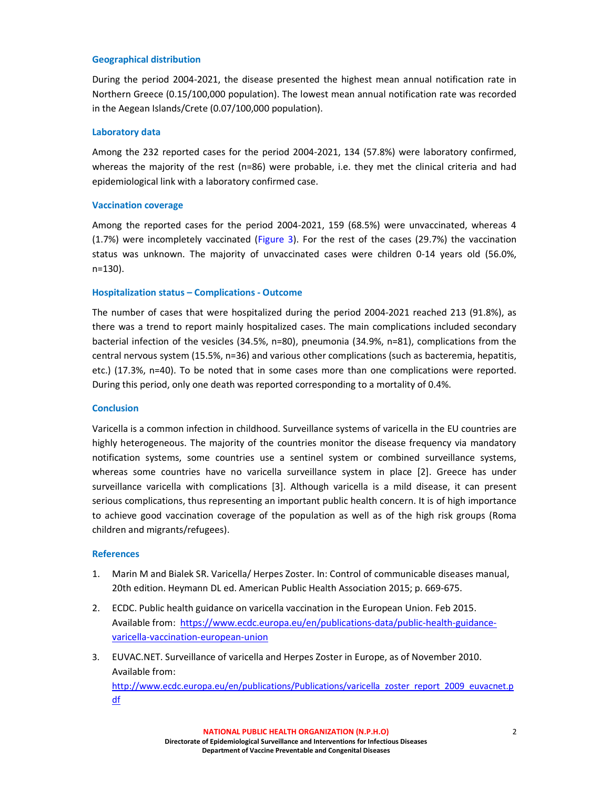#### Geographical distribution

During the period 2004-2021, the disease presented the highest mean annual notification rate in Northern Greece (0.15/100,000 population). The lowest mean annual notification rate was recorded in the Aegean Islands/Crete (0.07/100,000 population).

#### Laboratory data

Among the 232 reported cases for the period 2004-2021, 134 (57.8%) were laboratory confirmed, whereas the majority of the rest (n=86) were probable, i.e. they met the clinical criteria and had epidemiological link with a laboratory confirmed case.

#### Vaccination coverage

Among the reported cases for the period 2004-2021, 159 (68.5%) were unvaccinated, whereas 4 (1.7%) were incompletely vaccinated (Figure 3). For the rest of the cases (29.7%) the vaccination status was unknown. The majority of unvaccinated cases were children 0-14 years old (56.0%, n=130).

#### Hospitalization status – Complications - Outcome

The number of cases that were hospitalized during the period 2004-2021 reached 213 (91.8%), as there was a trend to report mainly hospitalized cases. The main complications included secondary bacterial infection of the vesicles (34.5%, n=80), pneumonia (34.9%, n=81), complications from the central nervous system (15.5%, n=36) and various other complications (such as bacteremia, hepatitis, etc.) (17.3%, n=40). To be noted that in some cases more than one complications were reported. During this period, only one death was reported corresponding to a mortality of 0.4%.

#### **Conclusion**

Varicella is a common infection in childhood. Surveillance systems of varicella in the EU countries are highly heterogeneous. The majority of the countries monitor the disease frequency via mandatory notification systems, some countries use a sentinel system or combined surveillance systems, whereas some countries have no varicella surveillance system in place [2]. Greece has under surveillance varicella with complications [3]. Although varicella is a mild disease, it can present serious complications, thus representing an important public health concern. It is of high importance to achieve good vaccination coverage of the population as well as of the high risk groups (Roma children and migrants/refugees).

#### **References**

- 1. Marin M and Bialek SR. Varicella/ Herpes Zoster. In: Control of communicable diseases manual, 20th edition. Heymann DL ed. American Public Health Association 2015; p. 669-675.
- 2. ECDC. Public health guidance on varicella vaccination in the European Union. Feb 2015. Available from: https://www.ecdc.europa.eu/en/publications-data/public-health-guidancevaricella-vaccination-european-union
- 3. EUVAC.NET. Surveillance of varicella and Herpes Zoster in Europe, as of November 2010. Available from: http://www.ecdc.europa.eu/en/publications/Publications/varicella\_zoster\_report\_2009\_euvacnet.p df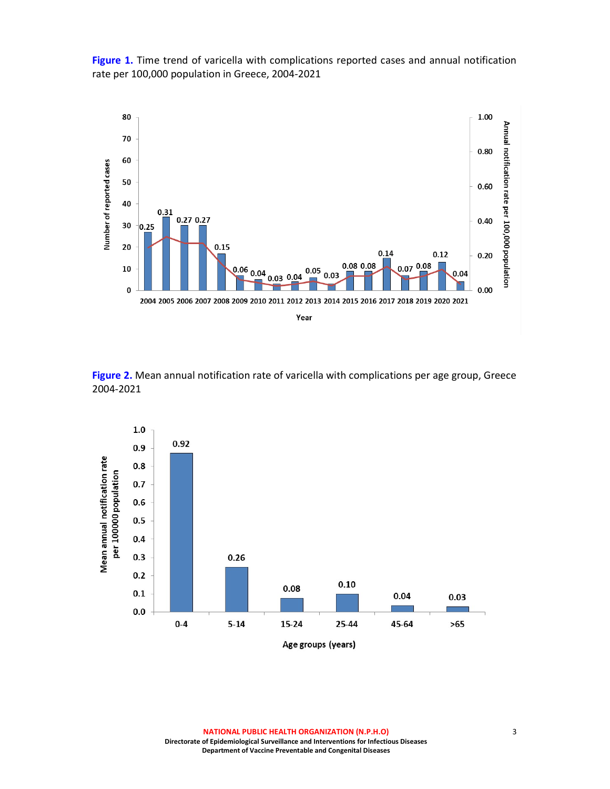Figure 1. Time trend of varicella with complications reported cases and annual notification rate per 100,000 population in Greece, 2004-2021



Figure 2. Mean annual notification rate of varicella with complications per age group, Greece 2004-2021